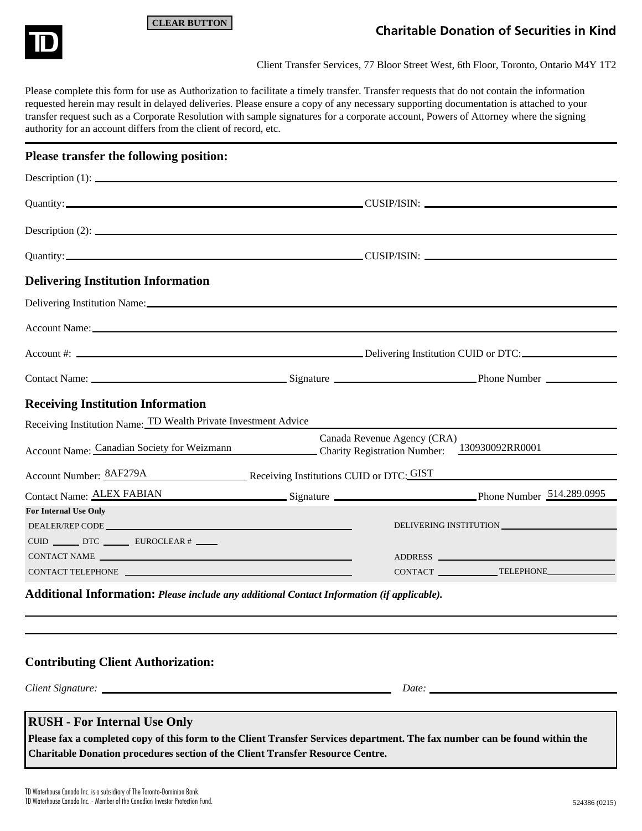

# **CLEAR BUTTON**

# **Charitable Donation of Securities in Kind**

Client Transfer Services, 77 Bloor Street West, 6th Floor, Toronto, Ontario M4Y 1T2

Please complete this form for use as Authorization to facilitate a timely transfer. Transfer requests that do not contain the information requested herein may result in delayed deliveries. Please ensure a copy of any necessary supporting documentation is attached to your transfer request such as a Corporate Resolution with sample signatures for a corporate account, Powers of Attorney where the signing authority for an account differs from the client of record, etc.

| Please transfer the following position:                                                                                                                                                                                        |                             |  |
|--------------------------------------------------------------------------------------------------------------------------------------------------------------------------------------------------------------------------------|-----------------------------|--|
| Description $(1)$ :                                                                                                                                                                                                            |                             |  |
| Quantity: CUSIP/ISIN: CUSIP/ISIN:                                                                                                                                                                                              |                             |  |
| Description $(2)$ :                                                                                                                                                                                                            |                             |  |
| Quantity: CUSIP/ISIN: CUSIP/ISIN:                                                                                                                                                                                              |                             |  |
| <b>Delivering Institution Information</b>                                                                                                                                                                                      |                             |  |
|                                                                                                                                                                                                                                |                             |  |
| Account Name: New York State Street Account Name: New York Street Account Name: New York Street Account Name: New York Street Account Name: New York Street Account Name: New York Street Account Name: New York Street Accoun |                             |  |
|                                                                                                                                                                                                                                |                             |  |
|                                                                                                                                                                                                                                |                             |  |
| <b>Receiving Institution Information</b>                                                                                                                                                                                       |                             |  |
| Receiving Institution Name: TD Wealth Private Investment Advice                                                                                                                                                                |                             |  |
| Account Name: Canadian Society for Weizmann Charity Registration Number: 130930092RR0001                                                                                                                                       | Canada Revenue Agency (CRA) |  |
| Account Number: 8AF279A Receiving Institutions CUID or DTC: GIST                                                                                                                                                               |                             |  |
| Contact Name: ALEX FABIAN Signature Signature Phone Number 514.289.0995                                                                                                                                                        |                             |  |
| <b>For Internal Use Only</b>                                                                                                                                                                                                   |                             |  |
|                                                                                                                                                                                                                                |                             |  |
| CUID ______ DTC ______ EUROCLEAR # ____                                                                                                                                                                                        |                             |  |
|                                                                                                                                                                                                                                |                             |  |
|                                                                                                                                                                                                                                |                             |  |
| A diffeoral Informations $D_1, \ldots, L, I_1, \ldots, L, H_1, \ldots, L, G_1, \ldots, G_n, \ldots, G_n, \ldots, G_n, \ldots, L, L)$                                                                                           |                             |  |

**Additional Information:** *Please include any additional Contact Information (if applicable).*

| <b>Contributing Client Authorization:</b> |       |  |
|-------------------------------------------|-------|--|
|                                           | Date: |  |

**Please fax a completed copy of this form to the Client Transfer Services department. The fax number can be found within the Charitable Donation procedures section of the Client Transfer Resource Centre.**